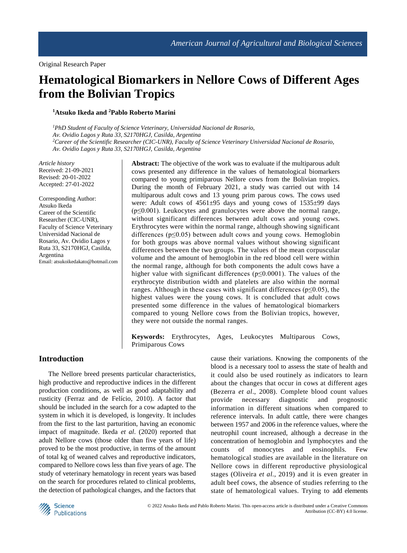# **Hematological Biomarkers in Nellore Cows of Different Ages from the Bolivian Tropics**

**<sup>1</sup>Atsuko Ikeda and <sup>2</sup>Pablo Roberto Marini**

*<sup>1</sup>PhD Student of Faculty of Science Veterinary, Universidad Nacional de Rosario, Av. Ovidio Lagos y Ruta 33, S2170HGJ, Casilda, Argentina <sup>2</sup>Career of the Scientific Researcher (CIC-UNR), Faculty of Science Veterinary Universidad Nacional de Rosario, Av. Ovidio Lagos y Ruta 33, S2170HGJ, Casilda, Argentina*

*Article history* Received: 21-09-2021 Revised: 20-01-2022 Accepted: 27-01-2022

Corresponding Author: Atsuko Ikeda Career of the Scientific Researcher (CIC-UNR), Faculty of Science Veterinary Universidad Nacional de Rosario, Av. Ovidio Lagos y Ruta 33, S2170HGJ, Casilda, Argentina Email: atsukoikedakato@hotmail.com **Abstract:** The objective of the work was to evaluate if the multiparous adult cows presented any difference in the values of hematological biomarkers compared to young primiparous Nellore cows from the Bolivian tropics. During the month of February 2021, a study was carried out with 14 multiparous adult cows and 13 young prim parous cows. The cows used were: Adult cows of 4561±95 days and young cows of 1535±99 days  $(p \le 0.001)$ . Leukocytes and granulocytes were above the normal range, without significant differences between adult cows and young cows. Erythrocytes were within the normal range, although showing significant differences ( $p \leq 0.05$ ) between adult cows and young cows. Hemoglobin for both groups was above normal values without showing significant differences between the two groups. The values of the mean corpuscular volume and the amount of hemoglobin in the red blood cell were within the normal range, although for both components the adult cows have a higher value with significant differences ( $p \le 0.0001$ ). The values of the erythrocyte distribution width and platelets are also within the normal ranges. Although in these cases with significant differences ( $p \le 0.05$ ), the highest values were the young cows. It is concluded that adult cows presented some difference in the values of hematological biomarkers compared to young Nellore cows from the Bolivian tropics, however, they were not outside the normal ranges.

**Keywords:** Erythrocytes, Ages, Leukocytes Multiparous Cows, Primiparous Cows

# **Introduction**

The Nellore breed presents particular characteristics, high productive and reproductive indices in the different production conditions, as well as good adaptability and rusticity (Ferraz and de Felício, 2010). A factor that should be included in the search for a cow adapted to the system in which it is developed, is longevity. It includes from the first to the last parturition, having an economic impact of magnitude. Ikeda *et al*. (2020) reported that adult Nellore cows (those older than five years of life) proved to be the most productive, in terms of the amount of total kg of weaned calves and reproductive indicators, compared to Nellore cows less than five years of age. The study of veterinary hematology in recent years was based on the search for procedures related to clinical problems, the detection of pathological changes, and the factors that

cause their variations. Knowing the components of the blood is a necessary tool to assess the state of health and it could also be used routinely as indicators to learn about the changes that occur in cows at different ages (Bezerra *et al*., 2008). Complete blood count values provide necessary diagnostic and prognostic information in different situations when compared to reference intervals. In adult cattle, there were changes between 1957 and 2006 in the reference values, where the neutrophil count increased, although a decrease in the concentration of hemoglobin and lymphocytes and the counts of monocytes and eosinophils. Few hematological studies are available in the literature on Nellore cows in different reproductive physiological stages (Oliveira *et al*., 2019) and it is even greater in adult beef cows, the absence of studies referring to the state of hematological values. Trying to add elements

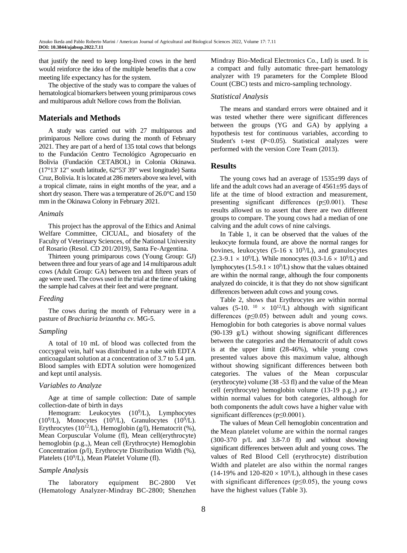that justify the need to keep long-lived cows in the herd would reinforce the idea of the multiple benefits that a cow meeting life expectancy has for the system.

The objective of the study was to compare the values of hematological biomarkers between young primiparous cows and multiparous adult Nellore cows from the Bolivian.

# **Materials and Methods**

A study was carried out with 27 multiparous and primiparous Nellore cows during the month of February 2021. They are part of a herd of 135 total cows that belongs to the Fundación Centro Tecnológico Agropecuario en Bolivia (Fundación CETABOL) in Colonia Okinawa. (17°13' 12" south latitude, 62°53' 39" west longitude) Santa Cruz, Bolivia. It is located at 286 meters above sea level, with a tropical climate, rains in eight months of the year, and a short dry season. There was a temperature of 26.0°C and 150 mm in the Okinawa Colony in February 2021.

#### *Animals*

This project has the approval of the Ethics and Animal Welfare Committee, CICUAL, and biosafety of the Faculty of Veterinary Sciences, of the National University of Rosario (Resol. CD 201/2019), Santa Fe-Argentina.

Thirteen young primiparous cows (Young Group: GJ) between three and four years of age and 14 multiparous adult cows (Adult Group: GA) between ten and fifteen years of age were used. The cows used in the trial at the time of taking the sample had calves at their feet and were pregnant.

#### *Feeding*

The cows during the month of February were in a pasture of *Brachiaria brizantha cv.* MG-5.

# *Sampling*

A total of 10 mL of blood was collected from the coccygeal vein, half was distributed in a tube with EDTA anticoagulant solution at a concentration of 3.7 to 5.4 µm. Blood samples with EDTA solution were homogenized and kept until analysis.

# *Variables to Analyze*

Age at time of sample collection: Date of sample collection-date of birth in days

Hemogram: Leukocytes (10<sup>9</sup>/L), Lymphocytes  $(10^9/L)$ , Monocytes  $(10^9/L)$ , Granulocytes  $(10^9/L)$ . Erythrocytes (10<sup>12</sup>/L), Hemoglobin (g/l), Hematocrit (%), Mean Corpuscular Volume (fl), Mean cell(erythrocyte) hemoglobin (p.g.,), Mean cell (Erythrocyte) Hemoglobin Concentration (p/l), Erythrocyte Distribution Width (%), Platelets (10<sup>9</sup>/L), Mean Platelet Volume (fl).

#### *Sample Analysis*

The laboratory equipment BC-2800 Vet (Hematology Analyzer-Mindray BC-2800; Shenzhen

Mindray Bio-Medical Electronics Co., Ltd) is used. It is a compact and fully automatic three-part hematology analyzer with 19 parameters for the Complete Blood Count (CBC) tests and micro-sampling technology.

#### *Statistical Analysis*

The means and standard errors were obtained and it was tested whether there were significant differences between the groups (YG and GA) by applying a hypothesis test for continuous variables, according to Student's t-test  $(P<0.05)$ . Statistical analyzes were performed with the version Core Team (2013).

# **Results**

The young cows had an average of 1535±99 days of life and the adult cows had an average of 4561±95 days of life at the time of blood extraction and measurement, presenting significant differences ( $p \le 0.001$ ). These results allowed us to assert that there are two different groups to compare. The young cows had a median of one calving and the adult cows of nine calvings.

In Table 1, it can be observed that the values of the leukocyte formula found, are above the normal ranges for bovines, leukocytes  $(5\n-16 \times 10^9/L)$ , and granulocytes  $(2.3-9.1 \times 10^{9}$ L). While monocytes  $(0.3-1.6 \times 10^{9}$ L) and lymphocytes  $(1.5\n-9.1 \times 10^9/\text{L})$  show that the values obtained are within the normal range, although the four components analyzed do coincide, it is that they do not show significant differences between adult cows and young cows.

Table 2, shows that Erythrocytes are within normal values (5-10.  $10 \times 10^{12}$ /L) although with significant differences (p≤0.05) between adult and young cows. Hemoglobin for both categories is above normal values (90-139 g/L) without showing significant differences between the categories and the Hematocrit of adult cows is at the upper limit (28-46%), while young cows presented values above this maximum value, although without showing significant differences between both categories. The values of the Mean corpuscular (erythrocyte) volume (38 -53 fl) and the value of the Mean cell (erythrocyte) hemoglobin volume (13-19 p.g.,) are within normal values for both categories, although for both components the adult cows have a higher value with significant differences (p≤0.0001).

The values of Mean Cell hemoglobin concentration and the Mean platelet volume are within the normal ranges (300-370 p/L and 3.8-7.0 fl) and without showing significant differences between adult and young cows. The values of Red Blood Cell (erythrocyte) distribution Width and platelet are also within the normal ranges  $(14-19\%$  and  $120-820 \times 10^{9}$ /L), although in these cases with significant differences ( $p \le 0.05$ ), the young cows have the highest values (Table 3).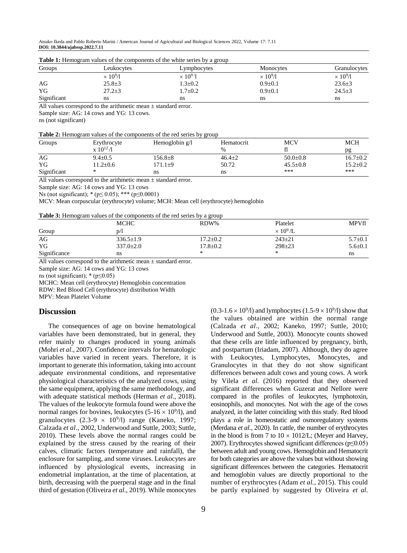Atsuko Ikeda and Pablo Roberto Marini / American Journal of Agricultural and Biological Sciences 2022, Volume 17: 7.11 **DOI: 10.3844/ajabssp.2022.7.11**

| Groups      | Leukocytes       | Monocytes<br>Lymphocytes   |                  | Granulocytes    |
|-------------|------------------|----------------------------|------------------|-----------------|
|             | $\times 10^9$ /1 | $\times 10^9$ <sup>1</sup> | $\times 10^9$ /1 | $\times 10^9/1$ |
| AG          | $25.8 \pm 3$     | $1.3 \pm 0.2$              | $0.9 \pm 0.1$    | $23.6 \pm 3$    |
| YG          | $27.2 + 3$       | $1.7 \pm 0.2$              | $0.9 \pm 0.1$    | $24.5 \pm 3$    |
| Significant | ns               | ns                         | ns               | ns              |

| Table 1: Hemogram values of the components of the white series by a group |  |  |  |  |  |
|---------------------------------------------------------------------------|--|--|--|--|--|
|---------------------------------------------------------------------------|--|--|--|--|--|

All values correspond to the arithmetic mean  $\pm$  standard error. Sample size: AG: 14 cows and YG: 13 cows.

ns (not significant)

|  |  |  | Table 2: Hemogram values of the components of the red series by group |
|--|--|--|-----------------------------------------------------------------------|
|  |  |  |                                                                       |

| Groups      | Erythrocyte       | Hemoglobin $g/l$ | Hematocrit   | <b>MCV</b>     | <b>MCH</b>     |
|-------------|-------------------|------------------|--------------|----------------|----------------|
|             | $\rm X 10^{12}/l$ |                  | $\%$         |                | pg             |
| AG          | $9.4 \pm 0.5$     | $156.8 \pm 8$    | $46.4 \pm 2$ | $50.0 \pm 0.8$ | $16.7 + 0.2$   |
| YG          | $1.2 + 0.6$       | $.71.1 \pm 9$    | 50.72        | $45.5 + 0.8$   | $15.2 \pm 0.2$ |
| Significant | ∗                 | ns               | ns           | ***            | ***            |

All values correspond to the arithmetic mean  $\pm$  standard error.

Sample size: AG: 14 cows and YG: 13 cows

Ns (not significant); \* (p≤ 0.05); \*\*\* (p≤0.0001)

MCV: Mean corpuscular (erythrocyte) volume; MCH: Mean cell (erythrocyte) hemoglobin

**Table 3:** Hemogram values of the components of the red series by a group

|              | <b>MCHC</b>     | RDW%           | Platelet         | <b>MPVfl</b>  |
|--------------|-----------------|----------------|------------------|---------------|
| Group        | D/I             |                | $\times 10^9$ /L |               |
| AG           | $336.5 \pm 1.9$ | $17.2 \pm 0.2$ | $243 \pm 21$     | $5.7 \pm 0.1$ |
| YG           | $337.0 \pm 2.0$ | $17.8 \pm 0.2$ | $298 \pm 23$     | $5.6 \pm 0.1$ |
| Significance | ns              | ∗              | ∗                | ns            |

All values correspond to the arithmetic mean  $\pm$  standard error.

Sample size: AG: 14 cows and YG: 13 cows

ns (not significant);  $*(p \le 0.05)$ 

MCHC: Mean cell (erythrocyte) Hemoglobin concentration

RDW: Red Blood Cell (erythrocyte) distribution Width

MPV: Mean Platelet Volume

#### **Discussion**

The consequences of age on bovine hematological variables have been demonstrated, but in general, they refer mainly to changes produced in young animals (Mohri *et al*., 2007). Confidence intervals for hematologic variables have varied in recent years. Therefore, it is important to generate this information, taking into account adequate environmental conditions, and representative physiological characteristics of the analyzed cows, using the same equipment, applying the same methodology, and with adequate statistical methods (Herman *et al*., 2018). The values of the leukocyte formula found were above the normal ranges for bovines, leukocytes  $(5-16 \times 10^9/1)$ , and granulocytes  $(2.3\n-9 \times 10^9)$  range (Kaneko, 1997; Calzada *et al*., 2002, Underwood and Suttle, 2003; Suttle, 2010). These levels above the normal ranges could be explained by the stress caused by the rearing of their calves, climatic factors (temperature and rainfall), the enclosure for sampling, and some viruses. Leukocytes are influenced by physiological events, increasing in endometrial implantation, at the time of placentation, at birth, decreasing with the puerperal stage and in the final third of gestation (Oliveira *et al*., 2019). While monocytes

 $(0.3\n-1.6 \times 10^9)$  and lymphocytes  $(1.5\n-9 \times 10^9)$  show that the values obtained are within the normal range (Calzada *et al*., 2002; Kaneko, 1997; Suttle, 2010; Underwood and Suttle, 2003). Monocyte counts showed that these cells are little influenced by pregnancy, birth, and postpartum (Iriadam, 2007). Although, they do agree with Leukocytes, Lymphocytes, Monocytes, and Granulocytes in that they do not show significant differences between adult cows and young cows. A work by Vilela *et al*. (2016) reported that they observed significant differences when Guzerat and Nellore were compared in the profiles of leukocytes, lymphotoxin, eosinophils, and monocytes. Not with the age of the cows analyzed, in the latter coinciding with this study. Red blood plays a role in homeostatic and osmoregulatory systems (Merdana *et al*., 2020). In cattle, the number of erythrocytes in the blood is from 7 to  $10 \times 1012$ /L; (Meyer and Harvey, 2007). Erythrocytes showed significant differences (p≤0.05) between adult and young cows. Hemoglobin and Hematocrit for both categories are above the values but without showing significant differences between the categories. Hematocrit and hemoglobin values are directly proportional to the number of erythrocytes (Adam *et al.,* 2015). This could be partly explained by suggested by Oliveira *et al*.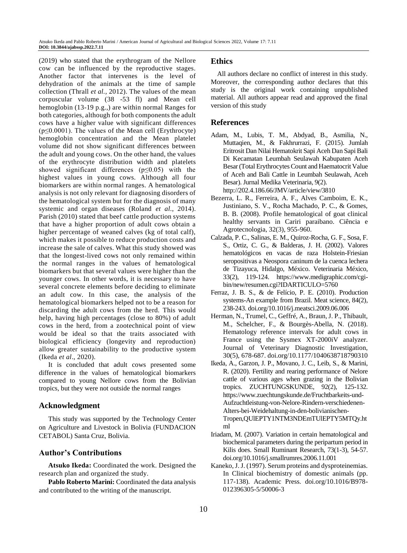(2019) who stated that the erythrogram of the Nellore cow can be influenced by the reproductive stages. Another factor that intervenes is the level of dehydration of the animals at the time of sample collection (Thrall *et al.,* 2012). The values of the mean corpuscular volume (38 -53 fl) and Mean cell hemoglobin (13-19 p.g.,) are within normal Ranges for both categories, although for both components the adult cows have a higher value with significant differences  $(p \le 0.0001)$ . The values of the Mean cell (Erythrocyte) hemoglobin concentration and the Mean platelet volume did not show significant differences between the adult and young cows. On the other hand, the values of the erythrocyte distribution width and platelets showed significant differences (p≤0.05) with the highest values in young cows. Although all four biomarkers are within normal ranges. A hematological analysis is not only relevant for diagnosing disorders of the hematological system but for the diagnosis of many systemic and organ diseases (Roland *et al*., 2014). Parish (2010) stated that beef cattle production systems that have a higher proportion of adult cows obtain a higher percentage of weaned calves (kg of total calf), which makes it possible to reduce production costs and increase the sale of calves. What this study showed was that the longest-lived cows not only remained within the normal ranges in the values of hematological biomarkers but that several values were higher than the younger cows. In other words, it is necessary to have several concrete elements before deciding to eliminate an adult cow. In this case, the analysis of the hematological biomarkers helped not to be a reason for discarding the adult cows from the herd. This would help, having high percentages (close to 80%) of adult cows in the herd, from a zootechnical point of view would be ideal so that the traits associated with biological efficiency (longevity and reproduction) allow greater sustainability to the productive system (Ikeda *et al*., 2020).

It is concluded that adult cows presented some difference in the values of hematological biomarkers compared to young Nellore cows from the Bolivian tropics, but they were not outside the normal ranges

# **Acknowledgment**

This study was supported by the Technology Center on Agriculture and Livestock in Bolivia (FUNDACION CETABOL) Santa Cruz, Bolivia.

# **Author's Contributions**

**Atsuko Ikeda:** Coordinated the work. Designed the research plan and organized the study.

**Pablo Roberto Marini:** Coordinated the data analysis and contributed to the writing of the manuscript.

# **Ethics**

All authors declare no conflict of interest in this study. Moreover, the corresponding author declares that this study is the original work containing unpublished material. All authors appear read and approved the final version of this study

# **References**

- Adam, M., Lubis, T. M., Abdyad, B., Asmilia, N., Muttaqien, M., & Fakhrurrazi, F. (2015). Jumlah Eritrosit Dan Nilai Hematokrit Sapi Aceh Dan Sapi Bali Di Kecamatan Leumbah Seulawah Kabupaten Aceh Besar (Total Erythrocytes Count and Haematocrit Value of Aceh and Bali Cattle in Leumbah Seulawah, Aceh Besar). Jurnal Medika Veterinaria, 9(2). http://202.4.186.66/JMV/article/view/3810
- Bezerra, L. R., Ferreira, A. F., Alves Camboim, E. K., Justiniano, S. V., Rocha Machado, P. C., & Gomes, B. B. (2008). Profile hematological of goat clinical healthy servants in Cariri paraibano. Ciência e Agrotecnologia, 32(3), 955-960.
- Calzada, P. C., Salinas, E. M., Quiroz-Rocha, G. F., Sosa, F. S., Ortiz, C. G., & Balderas, J. H. (2002). Valores hematológicos en vacas de raza Holstein-Friesian seropositivas a Neospora caninum de la cuenca lechera de Tizayuca, Hidalgo, México. Veterinaria México, 33(2), 119-124. https://www.medigraphic.com/cgibin/new/resumen.cgi?IDARTICULO=5760
- Ferraz, J. B. S., & de Felício, P. E. (2010). Production systems-An example from Brazil. Meat science, 84(2), 238-243. doi.org/10.1016/j.meatsci.2009.06.006
- Herman, N., Trumel, C., Geffré, A., Braun, J. P., Thibault, M., Schelcher, F., & Bourgès-Abella, N. (2018). Hematology reference intervals for adult cows in France using the Sysmex XT-2000iV analyzer. Journal of Veterinary Diagnostic Investigation, 30(5), 678-687. doi.org/10.1177/1040638718790310
- Ikeda, A., Garzon, J. P., Movano, J. C., Leib, S., & Marini, R. (2020). Fertility and rearing performance of Nelore cattle of various ages when grazing in the Bolivian tropics. ZUCHTUNGSKUNDE, 92(2), 125-132. https://www.zuechtungskunde.de/Fruchtbarkeits-und-Aufzuchtleistung-von-Nelore-Rindern-verschiedenen-Alters-bei-Weidehaltung-in-den-bolivianischen-Tropen,QUlEPTY1NTM3NDEmTUlEPTY5MTQy.ht ml
- Iriadam, M. (2007). Variation in certain hematological and biochemical parameters during the peripartum period in Kilis does. Small Ruminant Research, 73(1-3), 54-57. doi.org/10.1016/j.smallrumres.2006.11.001
- Kaneko, J. J. (1997). Serum proteins and dysproteinemias. In Clinical biochemistry of domestic animals (pp. 117-138). Academic Press. doi.org/10.1016/B978- 012396305-5/50006-3